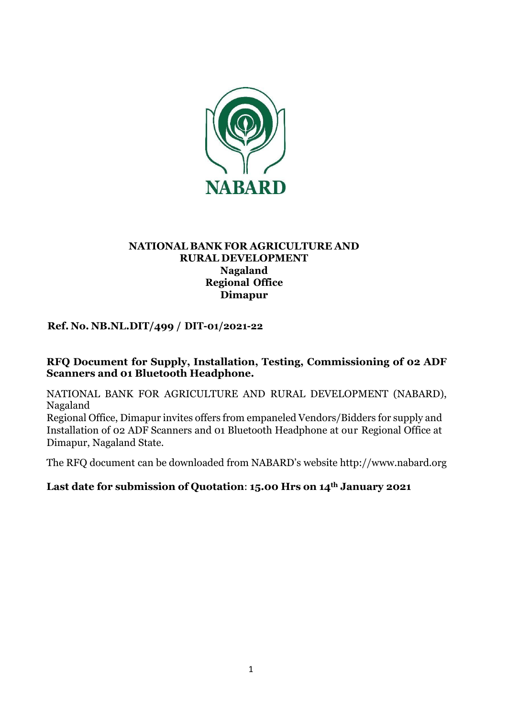

### **NATIONAL BANK FOR AGRICULTURE AND RURAL DEVELOPMENT Nagaland Regional Office Dimapur**

## **Ref. No. NB.NL.DIT/499 / DIT-01/2021-22**

### **RFQ Document for Supply, Installation, Testing, Commissioning of 02 ADF Scanners and 01 Bluetooth Headphone.**

NATIONAL BANK FOR AGRICULTURE AND RURAL DEVELOPMENT (NABARD), Nagaland

Regional Office, Dimapur invites offers from empaneled Vendors/Bidders for supply and Installation of 02 ADF Scanners and 01 Bluetooth Headphone at our Regional Office at Dimapur, Nagaland State.

The RFQ document can be downloaded from NABARD's website [http://www.nabard.org](http://www.nabard.org/)

### **Last date for submission of Quotation**: **15.00 Hrs on 14th January 2021**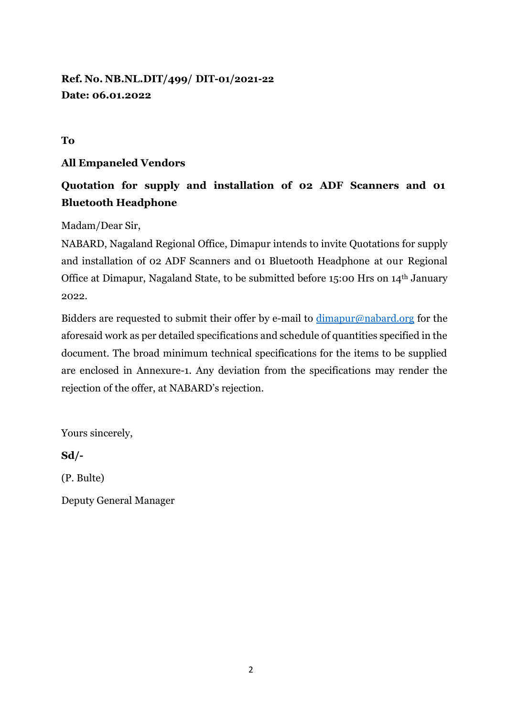**Ref. No. NB.NL.DIT/499/ DIT-01/2021-22 Date: 06.01.2022**

**To** 

## **All Empaneled Vendors**

# **Quotation for supply and installation of 02 ADF Scanners and 01 Bluetooth Headphone**

Madam/Dear Sir,

NABARD, Nagaland Regional Office, Dimapur intends to invite Quotations for supply and installation of 02 ADF Scanners and 01 Bluetooth Headphone at our Regional Office at Dimapur, Nagaland State, to be submitted before 15:00 Hrs on 14th January 2022.

Bidders are requested to submit their offer by e-mail to  $\dim \text{apur@nabard.org}$  for the aforesaid work as per detailed specifications and schedule of quantities specified in the document. The broad minimum technical specifications for the items to be supplied are enclosed in Annexure-1. Any deviation from the specifications may render the rejection of the offer, at NABARD's rejection.

Yours sincerely,

**Sd/-**

(P. Bulte)

Deputy General Manager